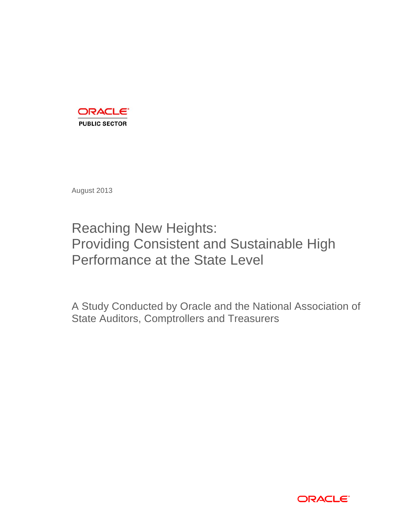

August 2013

# Providing Consistent and Sustainable High Performance at the State Level Reaching New Heights:

 A Study Conducted by Oracle and the National Association of State Auditors, Comptrollers and Treasurers

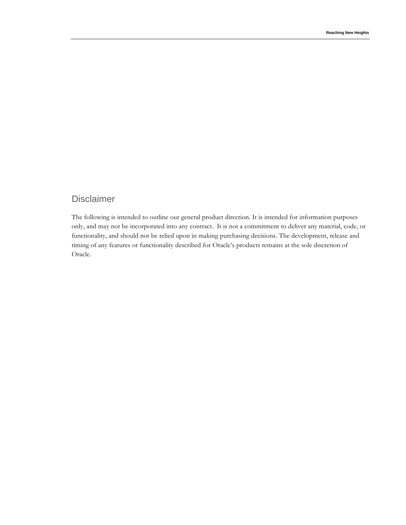# Disclaimer

 The following is intended to outline our general product direction. It is intended for information purposes only, and may not be incorporated into any contract. It is not a commitment to deliver any material, code, or functionality, and should not be relied upon in making purchasing decisions. The development, release and timing of any features or functionality described for Oracle's products remains at the sole discretion of Oracle.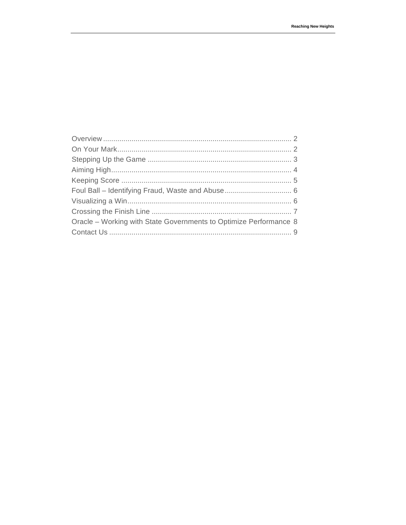| Oracle – Working with State Governments to Optimize Performance 8 |  |
|-------------------------------------------------------------------|--|
|                                                                   |  |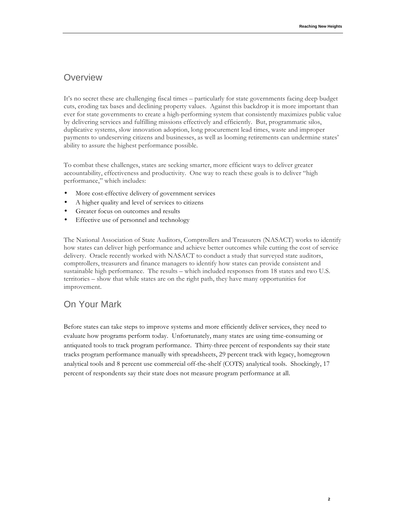### **Overview**

 It's no secret these are challenging fiscal times – particularly for state governments facing deep budget cuts, eroding tax bases and declining property values. Against this backdrop it is more important than ever for state governments to create a high-performing system that consistently maximizes public value by delivering services and fulfilling missions effectively and efficiently. But, programmatic silos, duplicative systems, slow innovation adoption, long procurement lead times, waste and improper payments to undeserving citizens and businesses, as well as looming retirements can undermine states' ability to assure the highest performance possible.

ability to assure the highest performance possible.<br>To combat these challenges, states are seeking smarter, more efficient ways to deliver greater accountability, effectiveness and productivity. One way to reach these goals is to deliver "high performance," which includes:

- More cost-effective delivery of government services
- A higher quality and level of services to citizens
- Greater focus on outcomes and results
- Effective use of personnel and technology

 The National Association of State Auditors, Comptrollers and Treasurers (NASACT) works to identify how states can deliver high performance and achieve better outcomes while cutting the cost of service delivery. Oracle recently worked with NASACT to conduct a study that surveyed state auditors, comptrollers, treasurers and finance managers to identify how states can provide consistent and sustainable high performance. The results – which included responses from 18 states and two U.S. territories – show that while states are on the right path, they have many opportunities for improvement.

## On Your Mark

 Before states can take steps to improve systems and more efficiently deliver services, they need to evaluate how programs perform today. Unfortunately, many states are using time-consuming or antiquated tools to track program performance. Thirty-three percent of respondents say their state analytical tools and 8 percent use commercial off-the-shelf (COTS) analytical tools. Shockingly, 17 percent of respondents say their state does not measure program performance at all. tracks program performance manually with spreadsheets, 29 percent track with legacy, homegrown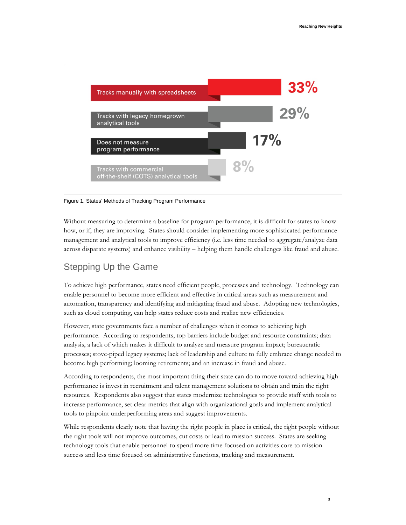

Figure 1. States' Methods of Tracking Program Performance

 Without measuring to determine a baseline for program performance, it is difficult for states to know how, or if, they are improving. States should consider implementing more sophisticated performance management and analytical tools to improve efficiency (i.e. less time needed to aggregate/analyze data across disparate systems) and enhance visibility – helping them handle challenges like fraud and abuse.

# Stepping Up the Game

 To achieve high performance, states need efficient people, processes and technology. Technology can enable personnel to become more efficient and effective in critical areas such as measurement and automation, transparency and identifying and mitigating fraud and abuse. Adopting new technologies, such as cloud computing, can help states reduce costs and realize new efficiencies.

 However, state governments face a number of challenges when it comes to achieving high performance. According to respondents, top barriers include budget and resource constraints; data analysis, a lack of which makes it difficult to analyze and measure program impact; bureaucratic processes; stove-piped legacy systems; lack of leadership and culture to fully embrace change needed to become high performing; looming retirements; and an increase in fraud and abuse.

 According to respondents, the most important thing their state can do to move toward achieving high performance is invest in recruitment and talent management solutions to obtain and train the right resources. Respondents also suggest that states modernize technologies to provide staff with tools to increase performance, set clear metrics that align with organizational goals and implement analytical tools to pinpoint underperforming areas and suggest improvements.

 While respondents clearly note that having the right people in place is critical, the right people without success and less time focused on administrative functions, tracking and measurement. the right tools will not improve outcomes, cut costs or lead to mission success. States are seeking technology tools that enable personnel to spend more time focused on activities core to mission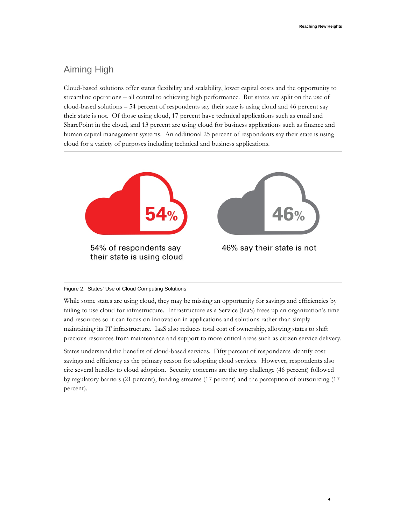# Aiming High

 Cloud-based solutions offer states flexibility and scalability, lower capital costs and the opportunity to streamline operations – all central to achieving high performance. But states are split on the use of cloud-based solutions – 54 percent of respondents say their state is using cloud and 46 percent say SharePoint in the cloud, and 13 percent are using cloud for business applications such as finance and human capital management systems. An additional 25 percent of respondents say their state is using cloud for a variety of purposes including technical and business applications. their state is not. Of those using cloud, 17 percent have technical applications such as email and





 While some states are using cloud, they may be missing an opportunity for savings and efficiencies by failing to use cloud for infrastructure. Infrastructure as a Service (IaaS) frees up an organization's time and resources so it can focus on innovation in applications and solutions rather than simply maintaining its IT infrastructure. IaaS also reduces total cost of ownership, allowing states to shift precious resources from maintenance and support to more critical areas such as citizen service delivery.

 States understand the benefits of cloud-based services. Fifty percent of respondents identify cost savings and efficiency as the primary reason for adopting cloud services. However, respondents also cite several hurdles to cloud adoption. Security concerns are the top challenge (46 percent) followed by regulatory barriers (21 percent), funding streams (17 percent) and the perception of outsourcing (17 percent).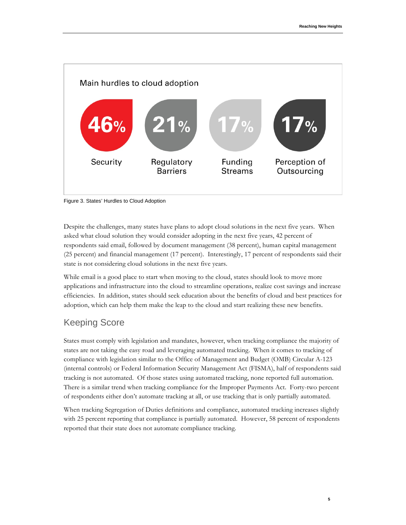



 asked what cloud solution they would consider adopting in the next five years, 42 percent of respondents said email, followed by document management (38 percent), human capital management state is not considering cloud solutions in the next five years. Despite the challenges, many states have plans to adopt cloud solutions in the next five years. When (25 percent) and financial management (17 percent). Interestingly, 17 percent of respondents said their

 While email is a good place to start when moving to the cloud, states should look to move more applications and infrastructure into the cloud to streamline operations, realize cost savings and increase efficiencies. In addition, states should seek education about the benefits of cloud and best practices for adoption, which can help them make the leap to the cloud and start realizing these new benefits.

# Keeping Score

 States must comply with legislation and mandates, however, when tracking compliance the majority of states are not taking the easy road and leveraging automated tracking. When it comes to tracking of compliance with legislation similar to the Office of Management and Budget (OMB) Circular A-123 (internal controls) or Federal Information Security Management Act (FISMA), half of respondents said tracking is not automated. Of those states using automated tracking, none reported full automation. tracking is not automated. Of those states using automated tracking, none reported full automation. There is a similar trend when tracking compliance for the Improper Payments Act. Forty-two percent of respondents either don't automate tracking at all, or use tracking that is only partially automated.

 When tracking Segregation of Duties definitions and compliance, automated tracking increases slightly with 25 percent reporting that compliance is partially automated. However, 58 percent of respondents reported that their state does not automate compliance tracking.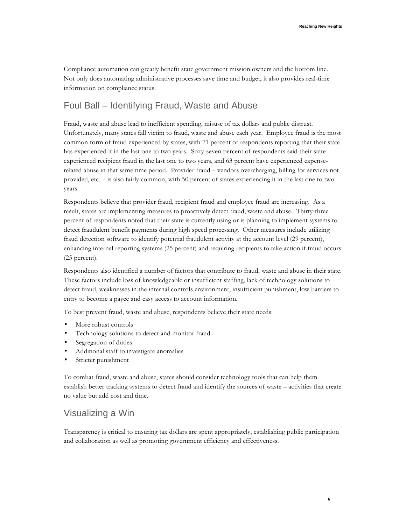Compliance automation can greatly benefit state government mission owners and the bottom line. Not only does automating administrative processes save time and budget, it also provides real-time information on compliance status.

# Foul Ball – Identifying Fraud, Waste and Abuse

 Fraud, waste and abuse lead to inefficient spending, misuse of tax dollars and public distrust. Unfortunately, many states fall victim to fraud, waste and abuse each year. Employee fraud is the most common form of fraud experienced by states, with 71 percent of respondents reporting that their state has experienced it in the last one to two years. Sixty-seven percent of respondents said their state experienced recipient fraud in the last one to two years, and 63 percent have experienced expense- related abuse in that same time period. Provider fraud – vendors overcharging, billing for services not provided, etc. – is also fairly common, with 50 percent of states experiencing it in the last one to two years.

 Respondents believe that provider fraud, recipient fraud and employee fraud are increasing. As a result, states are implementing measures to proactively detect fraud, waste and abuse. Thirty-three percent of respondents noted that their state is currently using or is planning to implement systems to detect fraudulent benefit payments during high speed processing. Other measures include utilizing fraud detection software to identify potential fraudulent activity at the account level (29 percent), enhancing internal reporting systems (25 percent) and requiring recipients to take action if fraud occurs (25 percent).

 Respondents also identified a number of factors that contribute to fraud, waste and abuse in their state. These factors include loss of knowledgeable or insufficient staffing, lack of technology solutions to detect fraud, weaknesses in the internal controls environment, insufficient punishment, low barriers to entry to become a payee and easy access to account information.

To best prevent fraud, waste and abuse, respondents believe their state needs:

- More robust controls
- Technology solutions to detect and monitor fraud
- Segregation of duties
- Additional staff to investigate anomalies
- Stricter punishment

 To combat fraud, waste and abuse, states should consider technology tools that can help them establish better tracking systems to detect fraud and identify the sources of waste – activities that create no value but add cost and time.

#### Visualizing a Win

 Transparency is critical to ensuring tax dollars are spent appropriately, establishing public participation and collaboration as well as promoting government efficiency and effectiveness.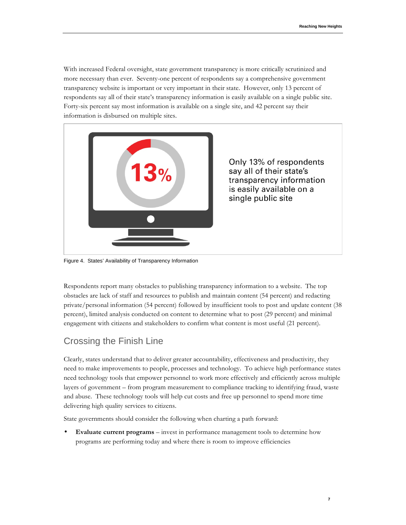With increased Federal oversight, state government transparency is more critically scrutinized and more necessary than ever. Seventy-one percent of respondents say a comprehensive government respondents say all of their state's transparency information is easily available on a single public site. Forty-six percent say most information is available on a single site, and 42 percent say their transparency website is important or very important in their state. However, only 13 percent of information is disbursed on multiple sites.



Figure 4. States' Availability of Transparency Information

 Respondents report many obstacles to publishing transparency information to a website. The top obstacles are lack of staff and resources to publish and maintain content (54 percent) and redacting private/personal information (54 percent) followed by insufficient tools to post and update content (38 percent), limited analysis conducted on content to determine what to post (29 percent) and minimal engagement with citizens and stakeholders to confirm what content is most useful (21 percent).

# Crossing the Finish Line

 Clearly, states understand that to deliver greater accountability, effectiveness and productivity, they need to make improvements to people, processes and technology. To achieve high performance states need technology tools that empower personnel to work more effectively and efficiently across multiple layers of government – from program measurement to compliance tracking to identifying fraud, waste and abuse. These technology tools will help cut costs and free up personnel to spend more time delivering high quality services to citizens.

State governments should consider the following when charting a path forward:

 • **Evaluate current programs** – invest in performance management tools to determine how programs are performing today and where there is room to improve efficiencies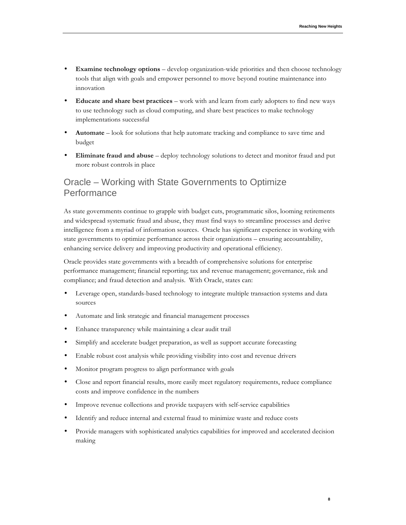- • **Examine technology options**  develop organization-wide priorities and then choose technology tools that align with goals and empower personnel to move beyond routine maintenance into innovation
- • **Educate and share best practices**  work with and learn from early adopters to find new ways to use technology such as cloud computing, and share best practices to make technology implementations successful
- • **Automate**  look for solutions that help automate tracking and compliance to save time and budget
- • **Eliminate fraud and abuse**  deploy technology solutions to detect and monitor fraud and put more robust controls in place

## Oracle – Working with State Governments to Optimize **Performance**

 As state governments continue to grapple with budget cuts, programmatic silos, looming retirements and widespread systematic fraud and abuse, they must find ways to streamline processes and derive intelligence from a myriad of information sources. Oracle has significant experience in working with state governments to optimize performance across their organizations – ensuring accountability, enhancing service delivery and improving productivity and operational efficiency.

 Oracle provides state governments with a breadth of comprehensive solutions for enterprise performance management; financial reporting; tax and revenue management; governance, risk and compliance; and fraud detection and analysis. With Oracle, states can:

- • Leverage open, standards-based technology to integrate multiple transaction systems and data sources
- • Automate and link strategic and financial management processes
- • Enhance transparency while maintaining a clear audit trail
- • Simplify and accelerate budget preparation, as well as support accurate forecasting
- • Enable robust cost analysis while providing visibility into cost and revenue drivers
- • Monitor program progress to align performance with goals
- • Close and report financial results, more easily meet regulatory requirements, reduce compliance costs and improve confidence in the numbers
- • Improve revenue collections and provide taxpayers with self-service capabilities
- • Identify and reduce internal and external fraud to minimize waste and reduce costs
- • Provide managers with sophisticated analytics capabilities for improved and accelerated decision making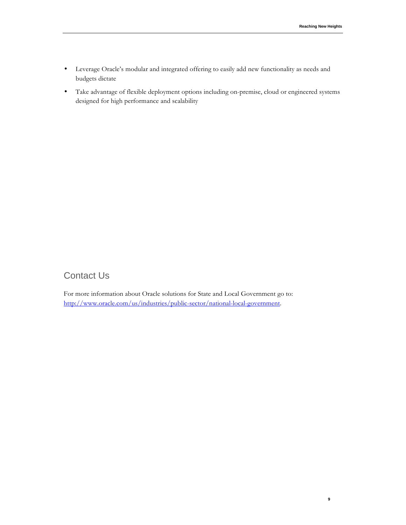- • Leverage Oracle's modular and integrated offering to easily add new functionality as needs and budgets dictate
- • Take advantage of flexible deployment options including on-premise, cloud or engineered systems designed for high performance and scalability

# Contact Us

 For more information about Oracle solutions for State and Local Government go to: http://www.oracle.com/us/industries/public-sector/national-local-government.